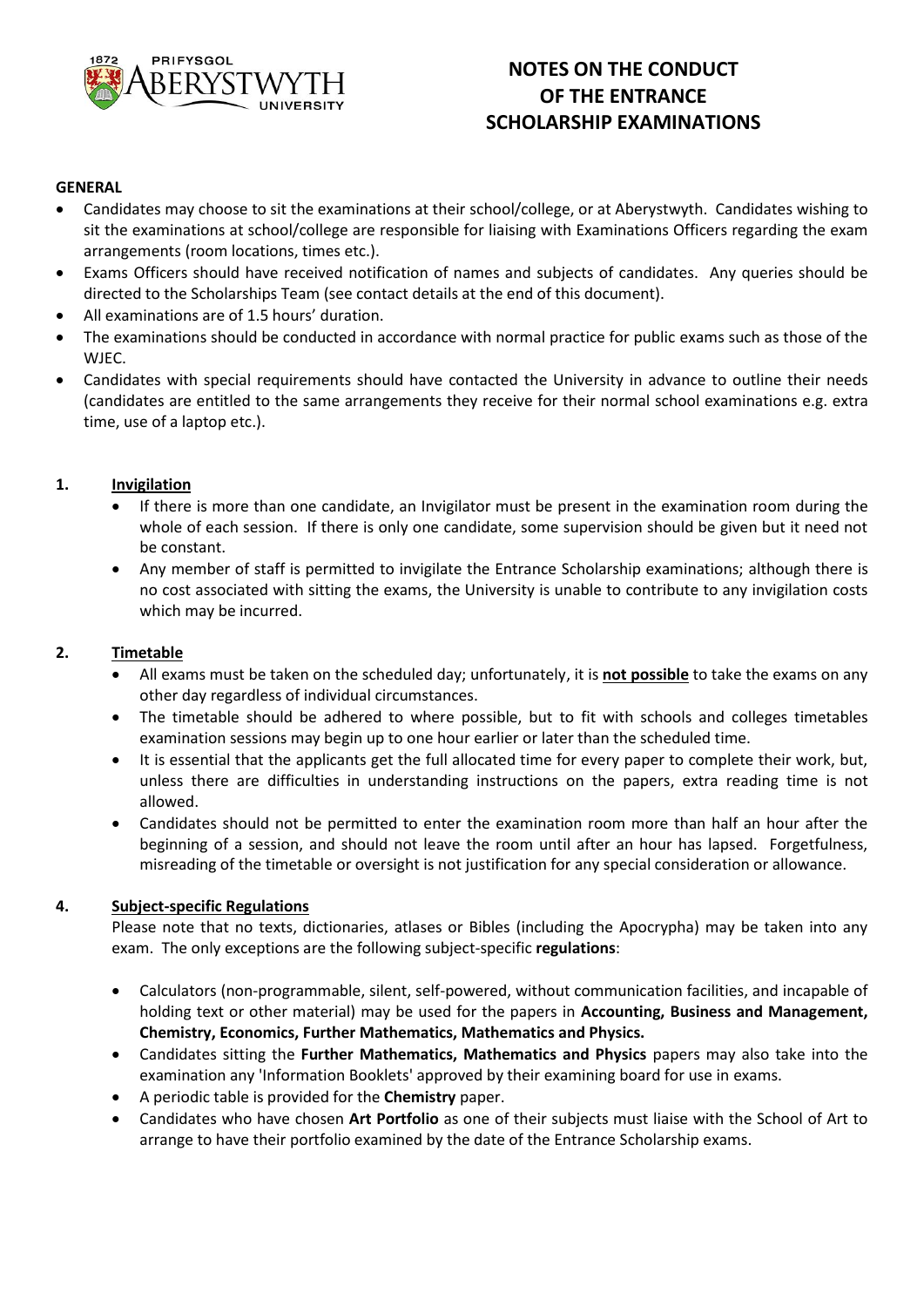

# **NOTES ON THE CONDUCT OF THE ENTRANCE SCHOLARSHIP EXAMINATIONS**

### **GENERAL**

- Candidates may choose to sit the examinations at their school/college, or at Aberystwyth. Candidates wishing to sit the examinations at school/college are responsible for liaising with Examinations Officers regarding the exam arrangements (room locations, times etc.).
- Exams Officers should have received notification of names and subjects of candidates. Any queries should be directed to the Scholarships Team (see contact details at the end of this document).
- All examinations are of 1.5 hours' duration.
- The examinations should be conducted in accordance with normal practice for public exams such as those of the WJEC.
- Candidates with special requirements should have contacted the University in advance to outline their needs (candidates are entitled to the same arrangements they receive for their normal school examinations e.g. extra time, use of a laptop etc.).

### **1. Invigilation**

- If there is more than one candidate, an Invigilator must be present in the examination room during the whole of each session. If there is only one candidate, some supervision should be given but it need not be constant.
- Any member of staff is permitted to invigilate the Entrance Scholarship examinations; although there is no cost associated with sitting the exams, the University is unable to contribute to any invigilation costs which may be incurred.

#### **2. Timetable**

- All exams must be taken on the scheduled day; unfortunately, it is **not possible** to take the exams on any other day regardless of individual circumstances.
- The timetable should be adhered to where possible, but to fit with schools and colleges timetables examination sessions may begin up to one hour earlier or later than the scheduled time.
- It is essential that the applicants get the full allocated time for every paper to complete their work, but, unless there are difficulties in understanding instructions on the papers, extra reading time is not allowed.
- Candidates should not be permitted to enter the examination room more than half an hour after the beginning of a session, and should not leave the room until after an hour has lapsed. Forgetfulness, misreading of the timetable or oversight is not justification for any special consideration or allowance.

### **4. Subject-specific Regulations**

Please note that no texts, dictionaries, atlases or Bibles (including the Apocrypha) may be taken into any exam. The only exceptions are the following subject-specific **regulations**:

- Calculators (non-programmable, silent, self-powered, without communication facilities, and incapable of holding text or other material) may be used for the papers in **Accounting, Business and Management, Chemistry, Economics, Further Mathematics, Mathematics and Physics.**
- Candidates sitting the **Further Mathematics, Mathematics and Physics** papers may also take into the examination any 'Information Booklets' approved by their examining board for use in exams.
- A periodic table is provided for the **Chemistry** paper.
- Candidates who have chosen **Art Portfolio** as one of their subjects must liaise with the School of Art to arrange to have their portfolio examined by the date of the Entrance Scholarship exams.